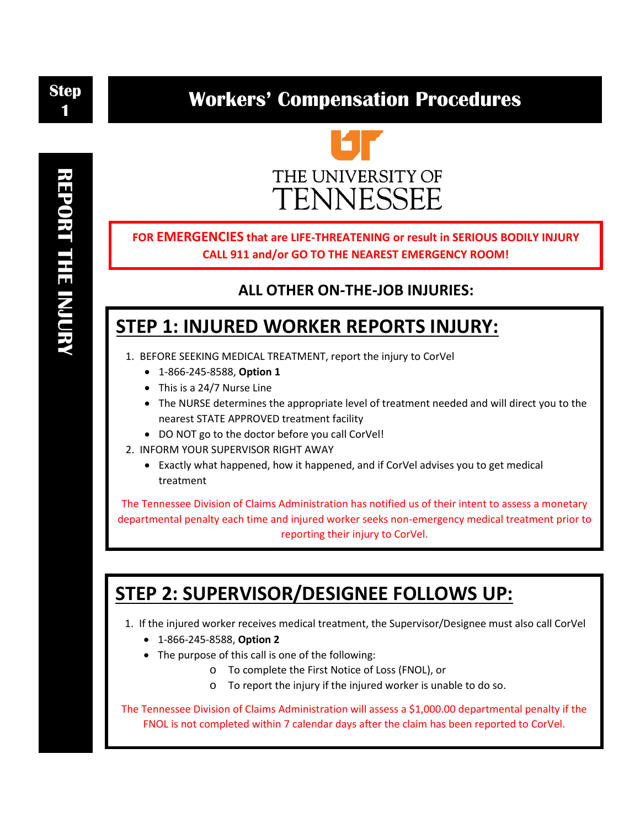**Step 1**

## **Workers' Compensation Procedures**



**FOR EMERGENCIES that are LIFE-THREATENING or result in SERIOUS BODILY INJURY CALL 911 and/or GO TO THE NEAREST EMERGENCY ROOM!**

### **ALL OTHER ON-THE-JOB INJURIES:**

### **STEP 1: INJURED WORKER REPORTS INJURY:**

- 1. BEFORE SEEKING MEDICAL TREATMENT, report the injury to CorVel
	- 1-866-245-8588, **Option 1**
	- This is a 24/7 Nurse Line
	- The NURSE determines the appropriate level of treatment needed and will direct you to the nearest STATE APPROVED treatment facility
	- DO NOT go to the doctor before you call CorVel!
- 2. INFORM YOUR SUPERVISOR RIGHT AWAY
	- Exactly what happened, how it happened, and if CorVel advises you to get medical treatment

The Tennessee Division of Claims Administration has notified us of their intent to assess a monetary departmental penalty each time and injured worker seeks non-emergency medical treatment prior to reporting their injury to CorVel.

# **STEP 2: SUPERVISOR/DESIGNEE FOLLOWS UP:**

1. If the injured worker receives medical treatment, the Supervisor/Designee must also call CorVel

- 1-866-245-8588, **Option 2**
- The purpose of this call is one of the following:
	- o To complete the First Notice of Loss (FNOL), or
	- o To report the injury if the injured worker is unable to do so.

The Tennessee Division of Claims Administration will assess a \$1,000.00 departmental penalty if the FNOL is not completed within 7 calendar days after the claim has been reported to CorVel.